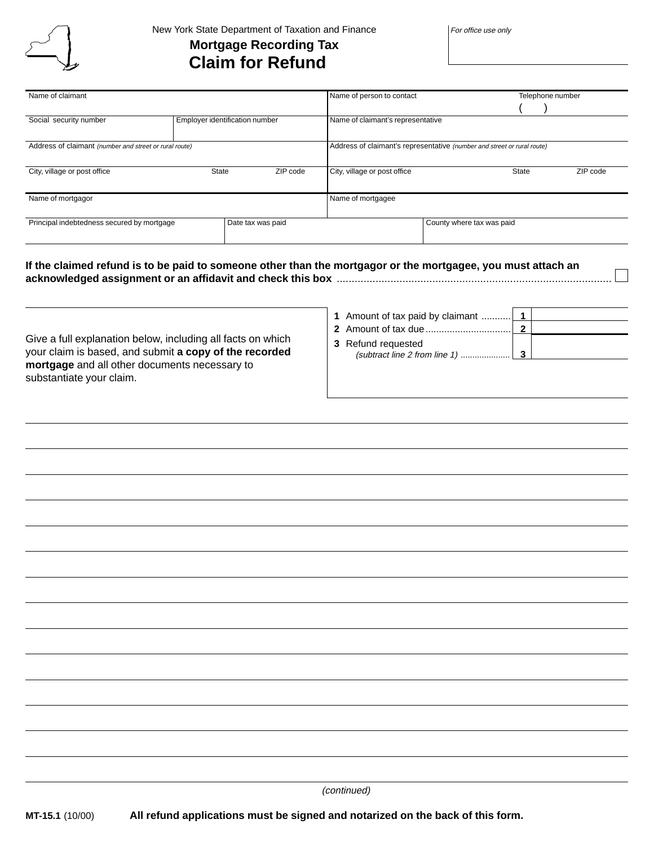

## New York State Department of Taxation and Finance **Mortgage Recording Tax Claim for Refund**

For office use only

| Name of claimant                                                |                                | Name of person to contact                                               | Telephone number          |
|-----------------------------------------------------------------|--------------------------------|-------------------------------------------------------------------------|---------------------------|
|                                                                 |                                |                                                                         |                           |
| Social security number                                          | Employer identification number | Name of claimant's representative                                       |                           |
| Address of claimant (number and street or rural route)          |                                | Address of claimant's representative (number and street or rural route) |                           |
| City, village or post office                                    | ZIP code<br><b>State</b>       | City, village or post office                                            | ZIP code<br><b>State</b>  |
| Name of mortgagor                                               |                                | Name of mortgagee                                                       |                           |
| Principal indebtedness secured by mortgage<br>Date tax was paid |                                |                                                                         | County where tax was paid |

**If the claimed refund is to be paid to someone other than the mortgagor or the mortgagee, you must attach an acknowledged assignment or an affidavit and check this box** ............................................................................................

Give a full explanation below, including all facts on which your claim is based, and submit **a copy of the recorded mortgage** and all other documents necessary to substantiate your claim.

 Amount of tax paid by claimant ........... **1** Amount of tax due................................ **2** Refund requested (subtract line 2 from line 1) ..................... **3**

(continued)